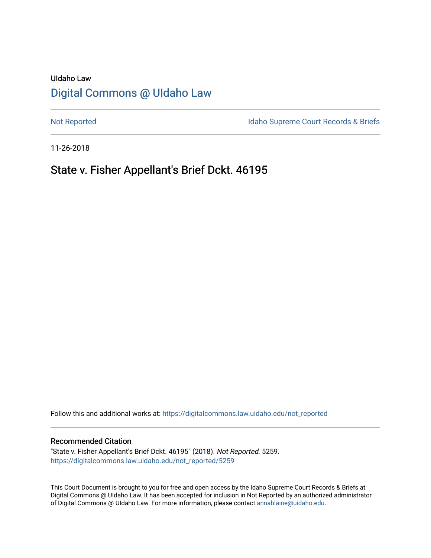# UIdaho Law [Digital Commons @ UIdaho Law](https://digitalcommons.law.uidaho.edu/)

[Not Reported](https://digitalcommons.law.uidaho.edu/not_reported) **Idaho Supreme Court Records & Briefs** 

11-26-2018

# State v. Fisher Appellant's Brief Dckt. 46195

Follow this and additional works at: [https://digitalcommons.law.uidaho.edu/not\\_reported](https://digitalcommons.law.uidaho.edu/not_reported?utm_source=digitalcommons.law.uidaho.edu%2Fnot_reported%2F5259&utm_medium=PDF&utm_campaign=PDFCoverPages) 

### Recommended Citation

"State v. Fisher Appellant's Brief Dckt. 46195" (2018). Not Reported. 5259. [https://digitalcommons.law.uidaho.edu/not\\_reported/5259](https://digitalcommons.law.uidaho.edu/not_reported/5259?utm_source=digitalcommons.law.uidaho.edu%2Fnot_reported%2F5259&utm_medium=PDF&utm_campaign=PDFCoverPages)

This Court Document is brought to you for free and open access by the Idaho Supreme Court Records & Briefs at Digital Commons @ UIdaho Law. It has been accepted for inclusion in Not Reported by an authorized administrator of Digital Commons @ UIdaho Law. For more information, please contact [annablaine@uidaho.edu](mailto:annablaine@uidaho.edu).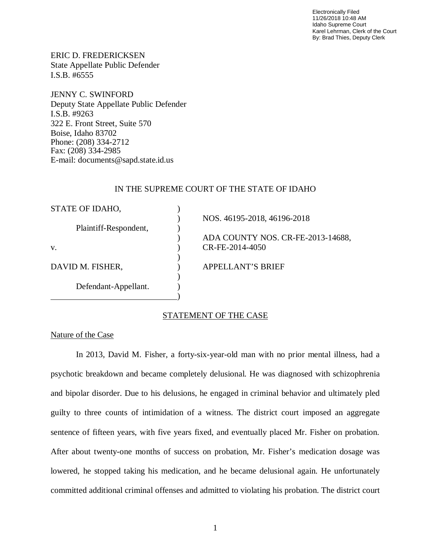Electronically Filed 11/26/2018 10:48 AM Idaho Supreme Court Karel Lehrman, Clerk of the Court By: Brad Thies, Deputy Clerk

ERIC D. FREDERICKSEN State Appellate Public Defender I.S.B. #6555

JENNY C. SWINFORD Deputy State Appellate Public Defender I.S.B. #9263 322 E. Front Street, Suite 570 Boise, Idaho 83702 Phone: (208) 334-2712 Fax: (208) 334-2985 E-mail: documents@sapd.state.id.us

### IN THE SUPREME COURT OF THE STATE OF IDAHO

| STATE OF IDAHO,       |                                   |
|-----------------------|-----------------------------------|
|                       | NOS. 46195-2018, 46196-2018       |
| Plaintiff-Respondent, |                                   |
|                       | ADA COUNTY NOS. CR-FE-2013-14688, |
| V.                    | CR-FE-2014-4050                   |
|                       |                                   |
| DAVID M. FISHER,      | APPELLANT'S BRIEF                 |
|                       |                                   |
| Defendant-Appellant.  |                                   |
|                       |                                   |

# STATEMENT OF THE CASE

Nature of the Case

In 2013, David M. Fisher, a forty-six-year-old man with no prior mental illness, had a psychotic breakdown and became completely delusional. He was diagnosed with schizophrenia and bipolar disorder. Due to his delusions, he engaged in criminal behavior and ultimately pled guilty to three counts of intimidation of a witness. The district court imposed an aggregate sentence of fifteen years, with five years fixed, and eventually placed Mr. Fisher on probation. After about twenty-one months of success on probation, Mr. Fisher's medication dosage was lowered, he stopped taking his medication, and he became delusional again. He unfortunately committed additional criminal offenses and admitted to violating his probation. The district court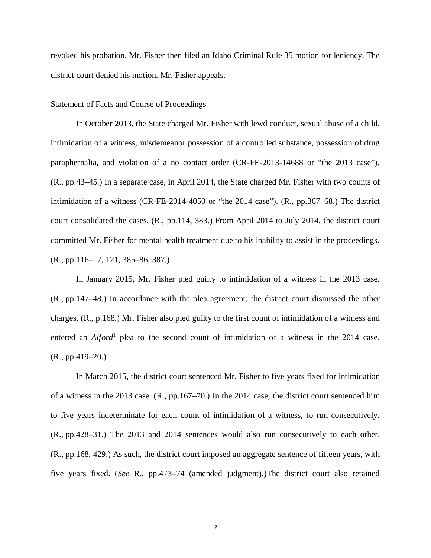revoked his probation. Mr. Fisher then filed an Idaho Criminal Rule 35 motion for leniency. The district court denied his motion. Mr. Fisher appeals.

#### Statement of Facts and Course of Proceedings

In October 2013, the State charged Mr. Fisher with lewd conduct, sexual abuse of a child, intimidation of a witness, misdemeanor possession of a controlled substance, possession of drug paraphernalia, and violation of a no contact order (CR-FE-2013-14688 or "the 2013 case"). (R., pp.43–45.) In a separate case, in April 2014, the State charged Mr. Fisher with two counts of intimidation of a witness (CR-FE-2014-4050 or "the 2014 case"). (R., pp.367–68.) The district court consolidated the cases. (R., pp.114, 383.) From April 2014 to July 2014, the district court committed Mr. Fisher for mental health treatment due to his inability to assist in the proceedings. (R., pp.116–17, 121, 385–86, 387.)

In January 2015, Mr. Fisher pled guilty to intimidation of a witness in the 2013 case. (R., pp.147–48.) In accordance with the plea agreement, the district court dismissed the other charges. (R., p.168.) Mr. Fisher also pled guilty to the first count of intimidation of a witness and entered an *Alford*<sup>[1](#page-2-0)</sup> plea to the second count of intimidation of a witness in the 2014 case. (R., pp.419–20.)

<span id="page-2-0"></span>In March 2015, the district court sentenced Mr. Fisher to five years fixed for intimidation of a witness in the 2013 case. (R., pp.167–70.) In the 2014 case, the district court sentenced him to five years indeterminate for each count of intimidation of a witness, to run consecutively. (R., pp.428–31.) The 2013 and 2014 sentences would also run consecutively to each other. (R., pp.168, 429.) As such, the district court imposed an aggregate sentence of fifteen years, with five years fixed. (*See* R., pp.473–74 (amended judgment).)The district court also retained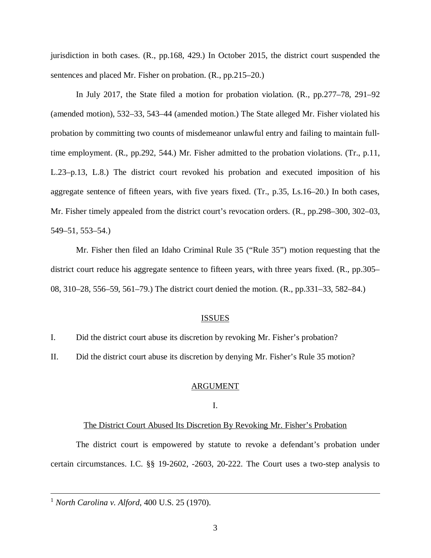jurisdiction in both cases. (R., pp.168, 429.) In October 2015, the district court suspended the sentences and placed Mr. Fisher on probation. (R., pp.215–20.)

In July 2017, the State filed a motion for probation violation. (R., pp.277–78, 291–92 (amended motion), 532–33, 543–44 (amended motion.) The State alleged Mr. Fisher violated his probation by committing two counts of misdemeanor unlawful entry and failing to maintain fulltime employment. (R., pp.292, 544.) Mr. Fisher admitted to the probation violations. (Tr., p.11, L.23–p.13, L.8.) The district court revoked his probation and executed imposition of his aggregate sentence of fifteen years, with five years fixed. (Tr., p.35, Ls.16–20.) In both cases, Mr. Fisher timely appealed from the district court's revocation orders. (R., pp.298–300, 302–03, 549–51, 553–54.)

Mr. Fisher then filed an Idaho Criminal Rule 35 ("Rule 35") motion requesting that the district court reduce his aggregate sentence to fifteen years, with three years fixed. (R., pp.305– 08, 310–28, 556–59, 561–79.) The district court denied the motion. (R., pp.331–33, 582–84.)

## ISSUES

I. Did the district court abuse its discretion by revoking Mr. Fisher's probation?

II. Did the district court abuse its discretion by denying Mr. Fisher's Rule 35 motion?

## ARGUMENT

## I.

#### The District Court Abused Its Discretion By Revoking Mr. Fisher's Probation

The district court is empowered by statute to revoke a defendant's probation under certain circumstances. I.C. §§ 19-2602, -2603, 20-222. The Court uses a two-step analysis to

<sup>1</sup> *North Carolina v. Alford*, 400 U.S. 25 (1970).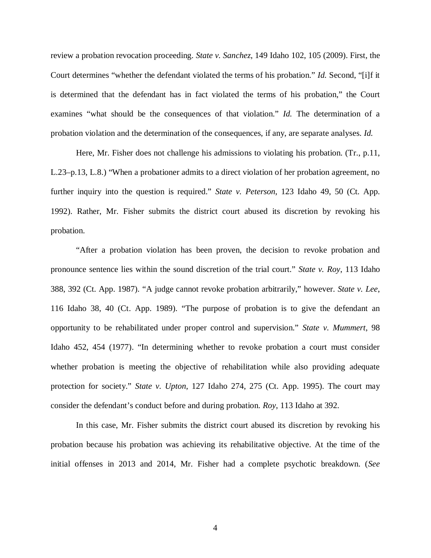review a probation revocation proceeding. *State v. Sanchez*, 149 Idaho 102, 105 (2009). First, the Court determines "whether the defendant violated the terms of his probation." *Id.* Second, "[i]f it is determined that the defendant has in fact violated the terms of his probation," the Court examines "what should be the consequences of that violation." *Id.* The determination of a probation violation and the determination of the consequences, if any, are separate analyses. *Id.*

Here, Mr. Fisher does not challenge his admissions to violating his probation. (Tr., p.11, L.23–p.13, L.8.) "When a probationer admits to a direct violation of her probation agreement, no further inquiry into the question is required." *State v. Peterson*, 123 Idaho 49, 50 (Ct. App. 1992). Rather, Mr. Fisher submits the district court abused its discretion by revoking his probation.

"After a probation violation has been proven, the decision to revoke probation and pronounce sentence lies within the sound discretion of the trial court." *State v. Roy*, 113 Idaho 388, 392 (Ct. App. 1987). "A judge cannot revoke probation arbitrarily," however. *State v. Lee*, 116 Idaho 38, 40 (Ct. App. 1989). "The purpose of probation is to give the defendant an opportunity to be rehabilitated under proper control and supervision." *State v. Mummert*, 98 Idaho 452, 454 (1977). "In determining whether to revoke probation a court must consider whether probation is meeting the objective of rehabilitation while also providing adequate protection for society." *State v. Upton*, 127 Idaho 274, 275 (Ct. App. 1995). The court may consider the defendant's conduct before and during probation. *Roy*, 113 Idaho at 392.

In this case, Mr. Fisher submits the district court abused its discretion by revoking his probation because his probation was achieving its rehabilitative objective. At the time of the initial offenses in 2013 and 2014, Mr. Fisher had a complete psychotic breakdown. (*See*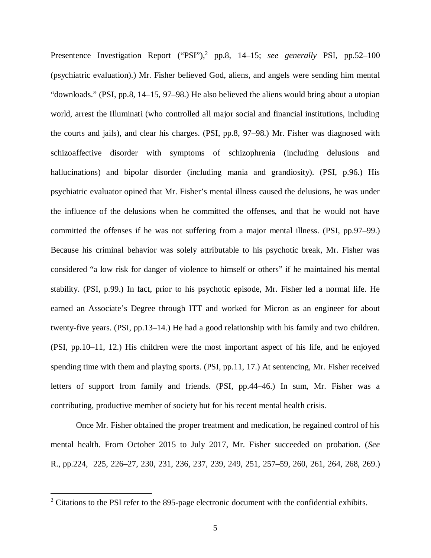Presentence Investigation Report ("PSI"),<sup>[2](#page-5-0)</sup> pp.8, 14–15; see generally PSI, pp.52–100 (psychiatric evaluation).) Mr. Fisher believed God, aliens, and angels were sending him mental "downloads." (PSI, pp.8, 14–15, 97–98.) He also believed the aliens would bring about a utopian world, arrest the Illuminati (who controlled all major social and financial institutions, including the courts and jails), and clear his charges. (PSI, pp.8, 97–98.) Mr. Fisher was diagnosed with schizoaffective disorder with symptoms of schizophrenia (including delusions and hallucinations) and bipolar disorder (including mania and grandiosity). (PSI, p.96.) His psychiatric evaluator opined that Mr. Fisher's mental illness caused the delusions, he was under the influence of the delusions when he committed the offenses, and that he would not have committed the offenses if he was not suffering from a major mental illness. (PSI, pp.97–99.) Because his criminal behavior was solely attributable to his psychotic break, Mr. Fisher was considered "a low risk for danger of violence to himself or others" if he maintained his mental stability. (PSI, p.99.) In fact, prior to his psychotic episode, Mr. Fisher led a normal life. He earned an Associate's Degree through ITT and worked for Micron as an engineer for about twenty-five years. (PSI, pp.13–14.) He had a good relationship with his family and two children. (PSI, pp.10–11, 12.) His children were the most important aspect of his life, and he enjoyed spending time with them and playing sports. (PSI, pp.11, 17.) At sentencing, Mr. Fisher received letters of support from family and friends. (PSI, pp.44–46.) In sum, Mr. Fisher was a contributing, productive member of society but for his recent mental health crisis.

Once Mr. Fisher obtained the proper treatment and medication, he regained control of his mental health. From October 2015 to July 2017, Mr. Fisher succeeded on probation. (*See* R., pp.224, 225, 226–27, 230, 231, 236, 237, 239, 249, 251, 257–59, 260, 261, 264, 268, 269.)

<span id="page-5-0"></span> $2$  Citations to the PSI refer to the 895-page electronic document with the confidential exhibits.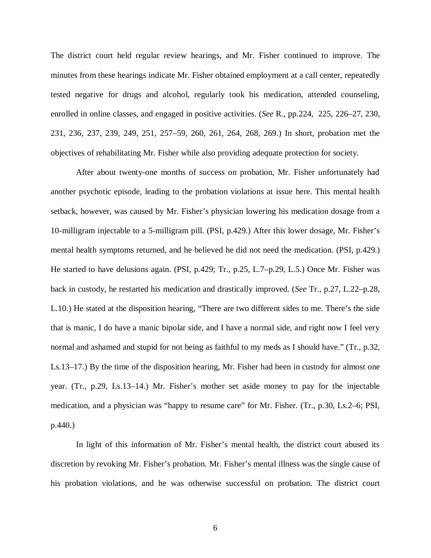The district court held regular review hearings, and Mr. Fisher continued to improve. The minutes from these hearings indicate Mr. Fisher obtained employment at a call center, repeatedly tested negative for drugs and alcohol, regularly took his medication, attended counseling, enrolled in online classes, and engaged in positive activities. (*See* R., pp.224, 225, 226–27, 230, 231, 236, 237, 239, 249, 251, 257–59, 260, 261, 264, 268, 269.) In short, probation met the objectives of rehabilitating Mr. Fisher while also providing adequate protection for society.

After about twenty-one months of success on probation, Mr. Fisher unfortunately had another psychotic episode, leading to the probation violations at issue here. This mental health setback, however, was caused by Mr. Fisher's physician lowering his medication dosage from a 10-milligram injectable to a 5-milligram pill. (PSI, p.429.) After this lower dosage, Mr. Fisher's mental health symptoms returned, and he believed he did not need the medication. (PSI, p.429.) He started to have delusions again. (PSI, p.429; Tr., p.25, L.7–p.29, L.5.) Once Mr. Fisher was back in custody, he restarted his medication and drastically improved. (*See* Tr., p.27, L.22–p.28, L.10.) He stated at the disposition hearing, "There are two different sides to me. There's the side that is manic, I do have a manic bipolar side, and I have a normal side, and right now I feel very normal and ashamed and stupid for not being as faithful to my meds as I should have." (Tr., p.32, Ls.13–17.) By the time of the disposition hearing, Mr. Fisher had been in custody for almost one year. (Tr., p.29, Ls.13–14.) Mr. Fisher's mother set aside money to pay for the injectable medication, and a physician was "happy to resume care" for Mr. Fisher. (Tr., p.30, Ls.2–6; PSI, p.440.)

In light of this information of Mr. Fisher's mental health, the district court abused its discretion by revoking Mr. Fisher's probation. Mr. Fisher's mental illness was the single cause of his probation violations, and he was otherwise successful on probation. The district court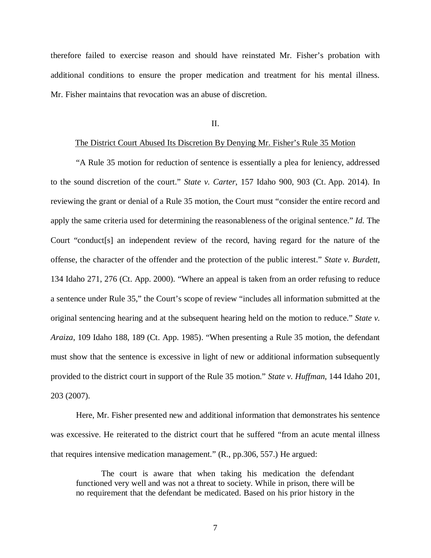therefore failed to exercise reason and should have reinstated Mr. Fisher's probation with additional conditions to ensure the proper medication and treatment for his mental illness. Mr. Fisher maintains that revocation was an abuse of discretion.

II.

#### The District Court Abused Its Discretion By Denying Mr. Fisher's Rule 35 Motion

"A Rule 35 motion for reduction of sentence is essentially a plea for leniency, addressed to the sound discretion of the court." *State v. Carter*, 157 Idaho 900, 903 (Ct. App. 2014). In reviewing the grant or denial of a Rule 35 motion, the Court must "consider the entire record and apply the same criteria used for determining the reasonableness of the original sentence." *Id.* The Court "conduct[s] an independent review of the record, having regard for the nature of the offense, the character of the offender and the protection of the public interest." *State v. Burdett*, 134 Idaho 271, 276 (Ct. App. 2000). "Where an appeal is taken from an order refusing to reduce a sentence under Rule 35," the Court's scope of review "includes all information submitted at the original sentencing hearing and at the subsequent hearing held on the motion to reduce." *State v. Araiza*, 109 Idaho 188, 189 (Ct. App. 1985). "When presenting a Rule 35 motion, the defendant must show that the sentence is excessive in light of new or additional information subsequently provided to the district court in support of the Rule 35 motion." *State v. Huffman*, 144 Idaho 201, 203 (2007).

Here, Mr. Fisher presented new and additional information that demonstrates his sentence was excessive. He reiterated to the district court that he suffered "from an acute mental illness that requires intensive medication management." (R., pp.306, 557.) He argued:

The court is aware that when taking his medication the defendant functioned very well and was not a threat to society. While in prison, there will be no requirement that the defendant be medicated. Based on his prior history in the

7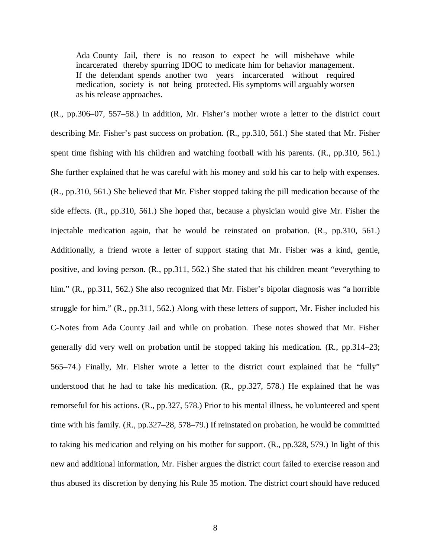Ada County Jail, there is no reason to expect he will misbehave while incarcerated thereby spurring IDOC to medicate him for behavior management. If the defendant spends another two years incarcerated without required medication, society is not being protected. His symptoms will arguably worsen as his release approaches.

(R., pp.306–07, 557–58.) In addition, Mr. Fisher's mother wrote a letter to the district court describing Mr. Fisher's past success on probation. (R., pp.310, 561.) She stated that Mr. Fisher spent time fishing with his children and watching football with his parents. (R., pp.310, 561.) She further explained that he was careful with his money and sold his car to help with expenses. (R., pp.310, 561.) She believed that Mr. Fisher stopped taking the pill medication because of the side effects. (R., pp.310, 561.) She hoped that, because a physician would give Mr. Fisher the injectable medication again, that he would be reinstated on probation. (R., pp.310, 561.) Additionally, a friend wrote a letter of support stating that Mr. Fisher was a kind, gentle, positive, and loving person. (R., pp.311, 562.) She stated that his children meant "everything to him." (R., pp.311, 562.) She also recognized that Mr. Fisher's bipolar diagnosis was "a horrible struggle for him." (R., pp.311, 562.) Along with these letters of support, Mr. Fisher included his C-Notes from Ada County Jail and while on probation. These notes showed that Mr. Fisher generally did very well on probation until he stopped taking his medication. (R., pp.314–23; 565–74.) Finally, Mr. Fisher wrote a letter to the district court explained that he "fully" understood that he had to take his medication. (R., pp.327, 578.) He explained that he was remorseful for his actions. (R., pp.327, 578.) Prior to his mental illness, he volunteered and spent time with his family. (R., pp.327–28, 578–79.) If reinstated on probation, he would be committed to taking his medication and relying on his mother for support. (R., pp.328, 579.) In light of this new and additional information, Mr. Fisher argues the district court failed to exercise reason and thus abused its discretion by denying his Rule 35 motion. The district court should have reduced